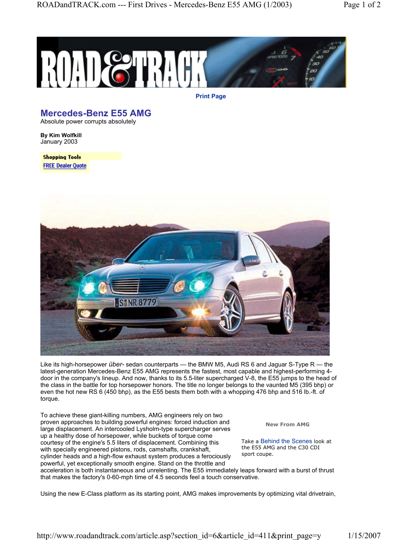

**Print Page**

## **Mercedes-Benz E55 AMG**

Absolute power corrupts absolutely

**By Kim Wolfkill** January 2003

**Shopping Tools FREE Dealer Quote** 



Like its high-horsepower *über-* sedan counterparts — the BMW M5, Audi RS 6 and Jaguar S-Type R — the latest-generation Mercedes-Benz E55 AMG represents the fastest, most capable and highest-performing 4 door in the company's lineup. And now, thanks to its 5.5-liter supercharged V-8, the E55 jumps to the head of the class in the battle for top horsepower honors. The title no longer belongs to the vaunted M5 (395 bhp) or even the hot new RS 6 (450 bhp), as the E55 bests them both with a whopping 476 bhp and 516 lb.-ft. of torque.

To achieve these giant-killing numbers, AMG engineers rely on two proven approaches to building powerful engines: forced induction and large displacement. An intercooled Lysholm-type supercharger serves up a healthy dose of horsepower, while buckets of torque come courtesy of the engine's 5.5 liters of displacement. Combining this with specially engineered pistons, rods, camshafts, crankshaft, cylinder heads and a high-flow exhaust system produces a ferociously powerful, yet exceptionally smooth engine. Stand on the throttle and

**New From AMG**

Take a Behind the Scenes look at the E55 AMG and the C30 CDI sport coupe.

acceleration is both instantaneous and unrelenting. The E55 immediately leaps forward with a burst of thrust that makes the factory's 0-60-mph time of 4.5 seconds feel a touch conservative.

Using the new E-Class platform as its starting point, AMG makes improvements by optimizing vital drivetrain,

http://www.roadandtrack.com/article.asp?section\_id=6&article\_id=411&print\_page=y 1/15/2007